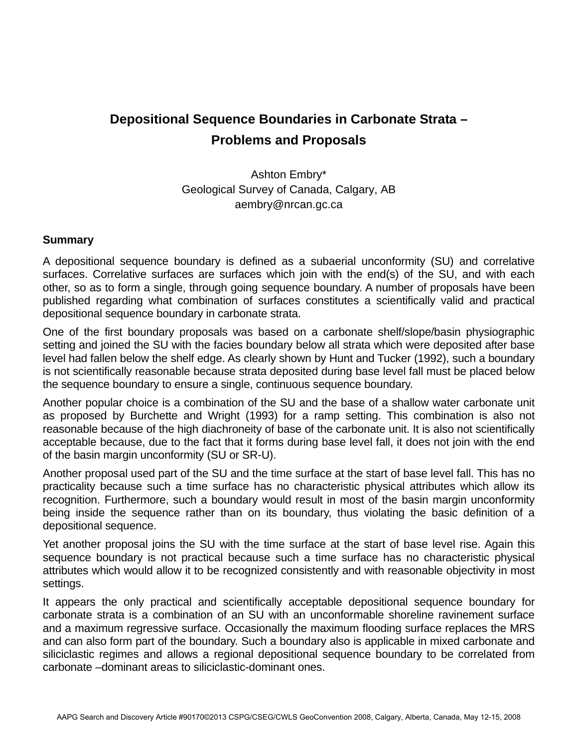## **Depositional Sequence Boundaries in Carbonate Strata – Problems and Proposals**

Ashton Embry\* Geological Survey of Canada, Calgary, AB aembry@nrcan.gc.ca

## **Summary**

A depositional sequence boundary is defined as a subaerial unconformity (SU) and correlative surfaces. Correlative surfaces are surfaces which join with the end(s) of the SU, and with each other, so as to form a single, through going sequence boundary. A number of proposals have been published regarding what combination of surfaces constitutes a scientifically valid and practical depositional sequence boundary in carbonate strata.

One of the first boundary proposals was based on a carbonate shelf/slope/basin physiographic setting and joined the SU with the facies boundary below all strata which were deposited after base level had fallen below the shelf edge. As clearly shown by Hunt and Tucker (1992), such a boundary is not scientifically reasonable because strata deposited during base level fall must be placed below the sequence boundary to ensure a single, continuous sequence boundary.

Another popular choice is a combination of the SU and the base of a shallow water carbonate unit as proposed by Burchette and Wright (1993) for a ramp setting. This combination is also not reasonable because of the high diachroneity of base of the carbonate unit. It is also not scientifically acceptable because, due to the fact that it forms during base level fall, it does not join with the end of the basin margin unconformity (SU or SR-U).

Another proposal used part of the SU and the time surface at the start of base level fall. This has no practicality because such a time surface has no characteristic physical attributes which allow its recognition. Furthermore, such a boundary would result in most of the basin margin unconformity being inside the sequence rather than on its boundary, thus violating the basic definition of a depositional sequence.

Yet another proposal joins the SU with the time surface at the start of base level rise. Again this sequence boundary is not practical because such a time surface has no characteristic physical attributes which would allow it to be recognized consistently and with reasonable objectivity in most settings.

It appears the only practical and scientifically acceptable depositional sequence boundary for carbonate strata is a combination of an SU with an unconformable shoreline ravinement surface and a maximum regressive surface. Occasionally the maximum flooding surface replaces the MRS and can also form part of the boundary. Such a boundary also is applicable in mixed carbonate and siliciclastic regimes and allows a regional depositional sequence boundary to be correlated from carbonate –dominant areas to siliciclastic-dominant ones.